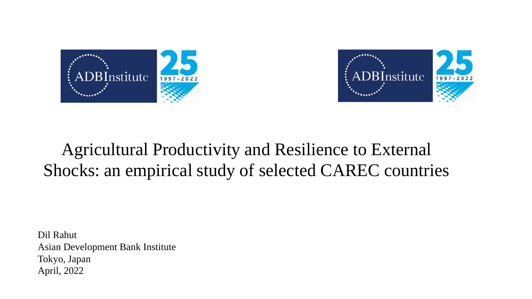



#### Agricultural Productivity and Resilience to External Shocks: an empirical study of selected CAREC countries

Dil Rahut Asian Development Bank Institute Tokyo, Japan April, 2022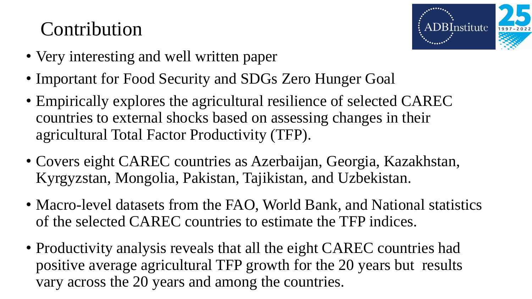### Contribution



- Very interesting and well written paper
- Important for Food Security and SDGs Zero Hunger Goal
- Empirically explores the agricultural resilience of selected CAREC countries to external shocks based on assessing changes in their agricultural Total Factor Productivity (TFP).
- Covers eight CAREC countries as Azerbaijan, Georgia, Kazakhstan, Kyrgyzstan, Mongolia, Pakistan, Tajikistan, and Uzbekistan.
- Macro-level datasets from the FAO, World Bank, and National statistics of the selected CAREC countries to estimate the TFP indices.
- Productivity analysis reveals that all the eight CAREC countries had positive average agricultural TFP growth for the 20 years but results vary across the 20 years and among the countries.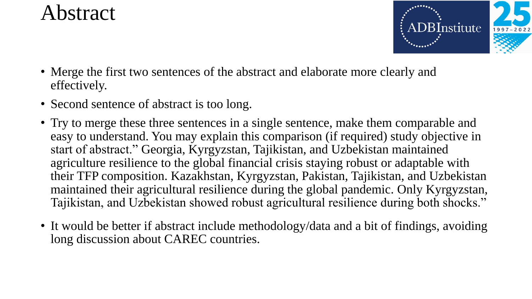### Abstract



- Merge the first two sentences of the abstract and elaborate more clearly and effectively.
- Second sentence of abstract is too long.
- Try to merge these three sentences in a single sentence, make them comparable and easy to understand. You may explain this comparison (if required) study objective in start of abstract." Georgia, Kyrgyzstan, Tajikistan, and Uzbekistan maintained agriculture resilience to the global financial crisis staying robust or adaptable with their TFP composition. Kazakhstan, Kyrgyzstan, Pakistan, Tajikistan, and Uzbekistan maintained their agricultural resilience during the global pandemic. Only Kyrgyzstan, Tajikistan, and Uzbekistan showed robust agricultural resilience during both shocks."
- It would be better if abstract include methodology/data and a bit of findings, avoiding long discussion about CAREC countries.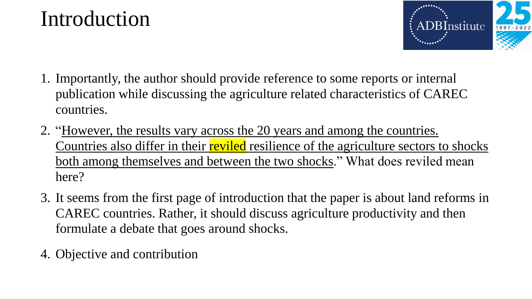#### Introduction



- 1. Importantly, the author should provide reference to some reports or internal publication while discussing the agriculture related characteristics of CAREC countries.
- 2. "However, the results vary across the 20 years and among the countries. Countries also differ in their reviled resilience of the agriculture sectors to shocks both among themselves and between the two shocks." What does reviled mean here?
- 3. It seems from the first page of introduction that the paper is about land reforms in CAREC countries. Rather, it should discuss agriculture productivity and then formulate a debate that goes around shocks.
- 4. Objective and contribution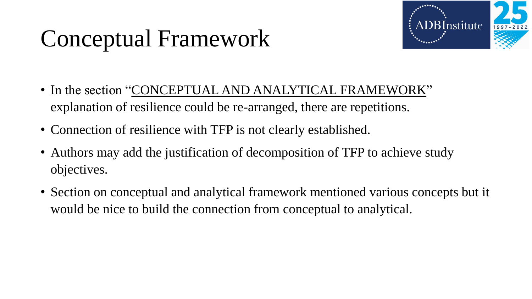# Conceptual Framework



- In the section "CONCEPTUAL AND ANALYTICAL FRAMEWORK" explanation of resilience could be re-arranged, there are repetitions.
- Connection of resilience with TFP is not clearly established.
- Authors may add the justification of decomposition of TFP to achieve study objectives.
- Section on conceptual and analytical framework mentioned various concepts but it would be nice to build the connection from conceptual to analytical.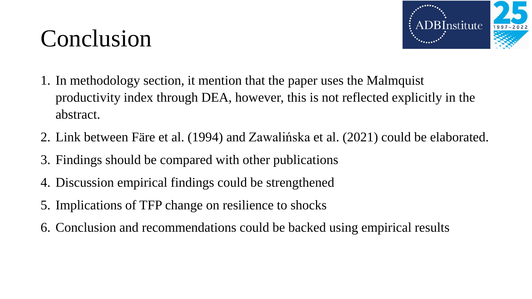## Conclusion



- 1. In methodology section, it mention that the paper uses the Malmquist productivity index through DEA, however, this is not reflected explicitly in the abstract.
- 2. Link between Färe et al. (1994) and Zawalińska et al. (2021) could be elaborated.
- 3. Findings should be compared with other publications
- 4. Discussion empirical findings could be strengthened
- 5. Implications of TFP change on resilience to shocks
- 6. Conclusion and recommendations could be backed using empirical results